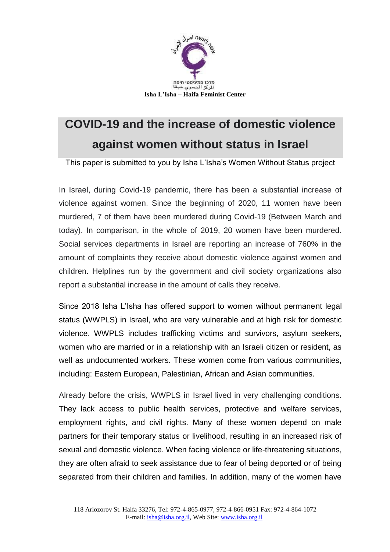

# **COVID-19 and the increase of domestic violence against women without status in Israel**

This paper is submitted to you by Isha L'Isha's Women Without Status project

In Israel, during Covid-19 pandemic, there has been a substantial increase of violence against women. Since the beginning of 2020, 11 women have been murdered, 7 of them have been murdered during Covid-19 (Between March and today). In comparison, in the whole of 2019, 20 women have been murdered. Social services departments in Israel are reporting an increase of 760% in the amount of complaints they receive about domestic violence against women and children. Helplines run by the government and civil society organizations also report a substantial increase in the amount of calls they receive.

Since 2018 Isha L'Isha has offered support to women without permanent legal status (WWPLS) in Israel, who are very vulnerable and at high risk for domestic violence. WWPLS includes trafficking victims and survivors, asylum seekers, women who are married or in a relationship with an Israeli citizen or resident, as well as undocumented workers. These women come from various communities, including: Eastern European, Palestinian, African and Asian communities.

Already before the crisis, WWPLS in Israel lived in very challenging conditions. They lack access to public health services, protective and welfare services, employment rights, and civil rights. Many of these women depend on male partners for their temporary status or livelihood, resulting in an increased risk of sexual and domestic violence. When facing violence or life-threatening situations, they are often afraid to seek assistance due to fear of being deported or of being separated from their children and families. In addition, many of the women have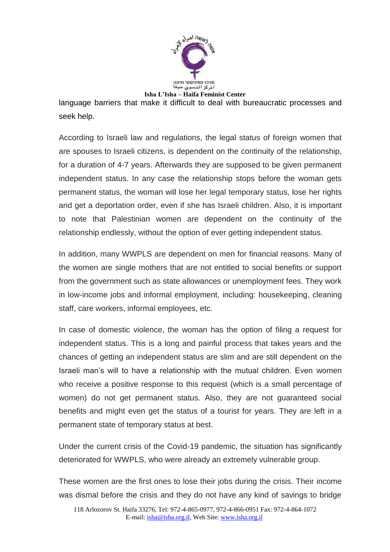

language barriers that make it difficult to deal with bureaucratic processes and seek help.

According to Israeli law and regulations, the legal status of foreign women that are spouses to Israeli citizens, is dependent on the continuity of the relationship, for a duration of 4-7 years. Afterwards they are supposed to be given permanent independent status. In any case the relationship stops before the woman gets permanent status, the woman will lose her legal temporary status, lose her rights and get a deportation order, even if she has Israeli children. Also, it is important to note that Palestinian women are dependent on the continuity of the relationship endlessly, without the option of ever getting independent status.

In addition, many WWPLS are dependent on men for financial reasons. Many of the women are single mothers that are not entitled to social benefits or support from the government such as state allowances or unemployment fees. They work in low-income jobs and informal employment, including: housekeeping, cleaning staff, care workers, informal employees, etc.

In case of domestic violence, the woman has the option of filing a request for independent status. This is a long and painful process that takes years and the chances of getting an independent status are slim and are still dependent on the Israeli man's will to have a relationship with the mutual children. Even women who receive a positive response to this request (which is a small percentage of women) do not get permanent status. Also, they are not guaranteed social benefits and might even get the status of a tourist for years. They are left in a permanent state of temporary status at best.

Under the current crisis of the Covid-19 pandemic, the situation has significantly deteriorated for WWPLS, who were already an extremely vulnerable group.

These women are the first ones to lose their jobs during the crisis. Their income was dismal before the crisis and they do not have any kind of savings to bridge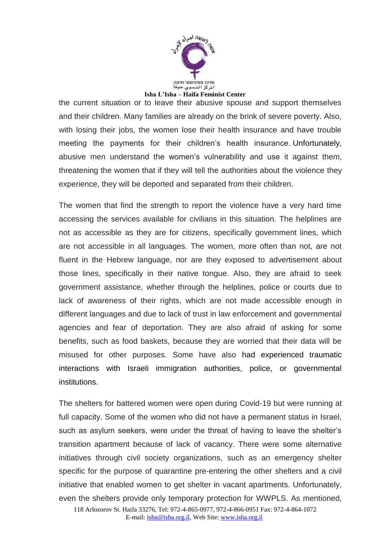

## **Isha L'Isha – Haifa Feminist Center**

the current situation or to leave their abusive spouse and support themselves and their children. Many families are already on the brink of severe poverty. Also, with losing their jobs, the women lose their health insurance and have trouble meeting the payments for their children's health insurance. Unfortunately, abusive men understand the women's vulnerability and use it against them, threatening the women that if they will tell the authorities about the violence they experience, they will be deported and separated from their children.

The women that find the strength to report the violence have a very hard time accessing the services available for civilians in this situation. The helplines are not as accessible as they are for citizens, specifically government lines, which are not accessible in all languages. The women, more often than not, are not fluent in the Hebrew language, nor are they exposed to advertisement about those lines, specifically in their native tongue. Also, they are afraid to seek government assistance, whether through the helplines, police or courts due to lack of awareness of their rights, which are not made accessible enough in different languages and due to lack of trust in law enforcement and governmental agencies and fear of deportation. They are also afraid of asking for some benefits, such as food baskets, because they are worried that their data will be misused for other purposes. Some have also had experienced traumatic interactions with Israeli immigration authorities, police, or governmental institutions.

The shelters for battered women were open during Covid-19 but were running at full capacity. Some of the women who did not have a permanent status in Israel, such as asylum seekers, were under the threat of having to leave the shelter's transition apartment because of lack of vacancy. There were some alternative initiatives through civil society organizations, such as an emergency shelter specific for the purpose of quarantine pre-entering the other shelters and a civil initiative that enabled women to get shelter in vacant apartments. Unfortunately, even the shelters provide only temporary protection for WWPLS. As mentioned,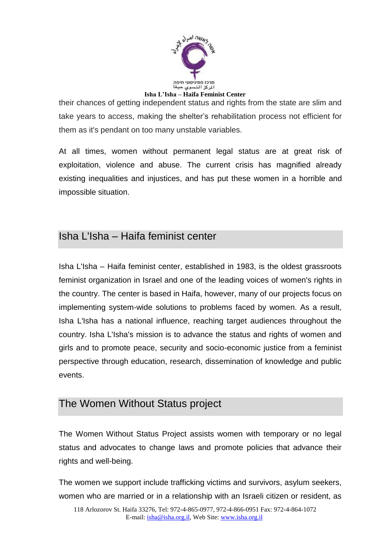

their chances of getting independent status and rights from the state are slim and take years to access, making the shelter's rehabilitation process not efficient for them as it's pendant on too many unstable variables.

At all times, women without permanent legal status are at great risk of exploitation, violence and abuse. The current crisis has magnified already existing inequalities and injustices, and has put these women in a horrible and impossible situation.

### Isha L'Isha – Haifa feminist center

Isha L'Isha – Haifa feminist center, established in 1983, is the oldest grassroots feminist organization in Israel and one of the leading voices of women's rights in the country. The center is based in Haifa, however, many of our projects focus on implementing system-wide solutions to problems faced by women. As a result, Isha L'Isha has a national influence, reaching target audiences throughout the country. Isha L'Isha's mission is to advance the status and rights of women and girls and to promote peace, security and socio-economic justice from a feminist perspective through education, research, dissemination of knowledge and public events.

#### The Women Without Status project

The Women Without Status Project assists women with temporary or no legal status and advocates to change laws and promote policies that advance their rights and well-being.

The women we support include trafficking victims and survivors, asylum seekers, women who are married or in a relationship with an Israeli citizen or resident, as